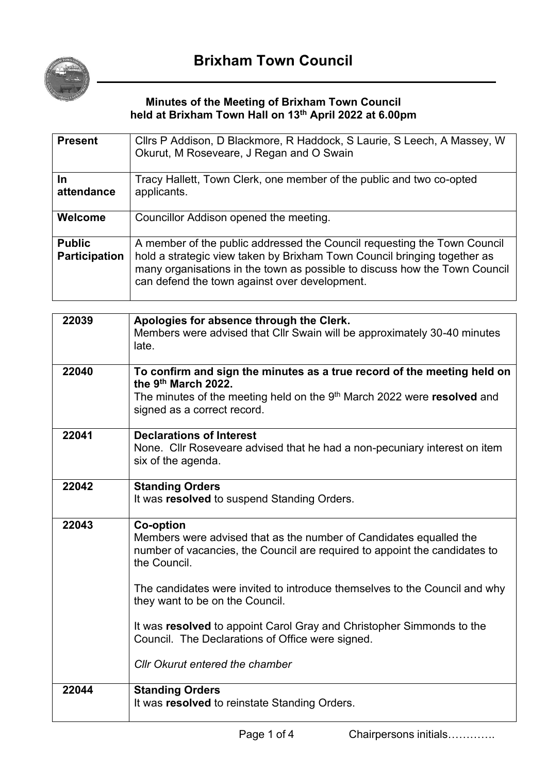

## **Minutes of the Meeting of Brixham Town Council held at Brixham Town Hall on 13th April 2022 at 6.00pm**

| <b>Present</b>                        | Cllrs P Addison, D Blackmore, R Haddock, S Laurie, S Leech, A Massey, W<br>Okurut, M Roseveare, J Regan and O Swain                                                                                                                                                                 |
|---------------------------------------|-------------------------------------------------------------------------------------------------------------------------------------------------------------------------------------------------------------------------------------------------------------------------------------|
| In<br>attendance                      | Tracy Hallett, Town Clerk, one member of the public and two co-opted<br>applicants.                                                                                                                                                                                                 |
| Welcome                               | Councillor Addison opened the meeting.                                                                                                                                                                                                                                              |
| <b>Public</b><br><b>Participation</b> | A member of the public addressed the Council requesting the Town Council<br>hold a strategic view taken by Brixham Town Council bringing together as<br>many organisations in the town as possible to discuss how the Town Council<br>can defend the town against over development. |

| 22039 | Apologies for absence through the Clerk.<br>Members were advised that Cllr Swain will be approximately 30-40 minutes<br>late.                                                                            |
|-------|----------------------------------------------------------------------------------------------------------------------------------------------------------------------------------------------------------|
| 22040 | To confirm and sign the minutes as a true record of the meeting held on<br>the 9th March 2022.<br>The minutes of the meeting held on the 9th March 2022 were resolved and<br>signed as a correct record. |
| 22041 | <b>Declarations of Interest</b><br>None. Cllr Roseveare advised that he had a non-pecuniary interest on item<br>six of the agenda.                                                                       |
| 22042 | <b>Standing Orders</b><br>It was resolved to suspend Standing Orders.                                                                                                                                    |
| 22043 | <b>Co-option</b><br>Members were advised that as the number of Candidates equalled the<br>number of vacancies, the Council are required to appoint the candidates to<br>the Council.                     |
|       | The candidates were invited to introduce themselves to the Council and why<br>they want to be on the Council.                                                                                            |
|       | It was resolved to appoint Carol Gray and Christopher Simmonds to the<br>Council. The Declarations of Office were signed.                                                                                |
|       | Cllr Okurut entered the chamber                                                                                                                                                                          |
| 22044 | <b>Standing Orders</b><br>It was resolved to reinstate Standing Orders.                                                                                                                                  |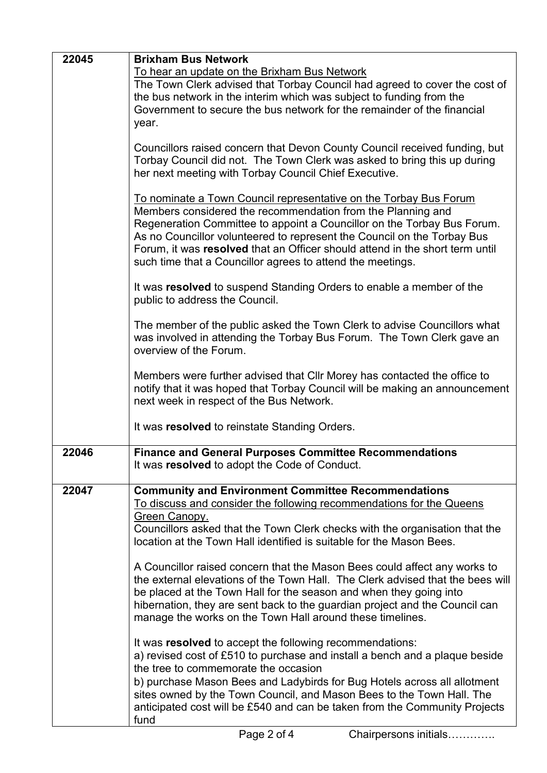| 22045 | <b>Brixham Bus Network</b>                                                                                                                                                                                                                                                                                                                                                                                                           |
|-------|--------------------------------------------------------------------------------------------------------------------------------------------------------------------------------------------------------------------------------------------------------------------------------------------------------------------------------------------------------------------------------------------------------------------------------------|
|       | To hear an update on the Brixham Bus Network                                                                                                                                                                                                                                                                                                                                                                                         |
|       | The Town Clerk advised that Torbay Council had agreed to cover the cost of                                                                                                                                                                                                                                                                                                                                                           |
|       | the bus network in the interim which was subject to funding from the                                                                                                                                                                                                                                                                                                                                                                 |
|       | Government to secure the bus network for the remainder of the financial                                                                                                                                                                                                                                                                                                                                                              |
|       | year.                                                                                                                                                                                                                                                                                                                                                                                                                                |
|       | Councillors raised concern that Devon County Council received funding, but<br>Torbay Council did not. The Town Clerk was asked to bring this up during<br>her next meeting with Torbay Council Chief Executive.                                                                                                                                                                                                                      |
|       | To nominate a Town Council representative on the Torbay Bus Forum<br>Members considered the recommendation from the Planning and<br>Regeneration Committee to appoint a Councillor on the Torbay Bus Forum.<br>As no Councillor volunteered to represent the Council on the Torbay Bus<br>Forum, it was resolved that an Officer should attend in the short term until<br>such time that a Councillor agrees to attend the meetings. |
|       | It was resolved to suspend Standing Orders to enable a member of the<br>public to address the Council.                                                                                                                                                                                                                                                                                                                               |
|       | The member of the public asked the Town Clerk to advise Councillors what<br>was involved in attending the Torbay Bus Forum. The Town Clerk gave an<br>overview of the Forum.                                                                                                                                                                                                                                                         |
|       | Members were further advised that CIIr Morey has contacted the office to<br>notify that it was hoped that Torbay Council will be making an announcement<br>next week in respect of the Bus Network.                                                                                                                                                                                                                                  |
|       | It was resolved to reinstate Standing Orders.                                                                                                                                                                                                                                                                                                                                                                                        |
| 22046 | <b>Finance and General Purposes Committee Recommendations</b><br>It was resolved to adopt the Code of Conduct.                                                                                                                                                                                                                                                                                                                       |
| 22047 | <b>Community and Environment Committee Recommendations</b>                                                                                                                                                                                                                                                                                                                                                                           |
|       | To discuss and consider the following recommendations for the Queens                                                                                                                                                                                                                                                                                                                                                                 |
|       | <b>Green Canopy.</b>                                                                                                                                                                                                                                                                                                                                                                                                                 |
|       | Councillors asked that the Town Clerk checks with the organisation that the<br>location at the Town Hall identified is suitable for the Mason Bees.                                                                                                                                                                                                                                                                                  |
|       | A Councillor raised concern that the Mason Bees could affect any works to<br>the external elevations of the Town Hall. The Clerk advised that the bees will<br>be placed at the Town Hall for the season and when they going into<br>hibernation, they are sent back to the guardian project and the Council can<br>manage the works on the Town Hall around these timelines.                                                        |
|       | It was resolved to accept the following recommendations:<br>a) revised cost of £510 to purchase and install a bench and a plaque beside<br>the tree to commemorate the occasion<br>b) purchase Mason Bees and Ladybirds for Bug Hotels across all allotment<br>sites owned by the Town Council, and Mason Bees to the Town Hall. The<br>anticipated cost will be £540 and can be taken from the Community Projects<br>fund           |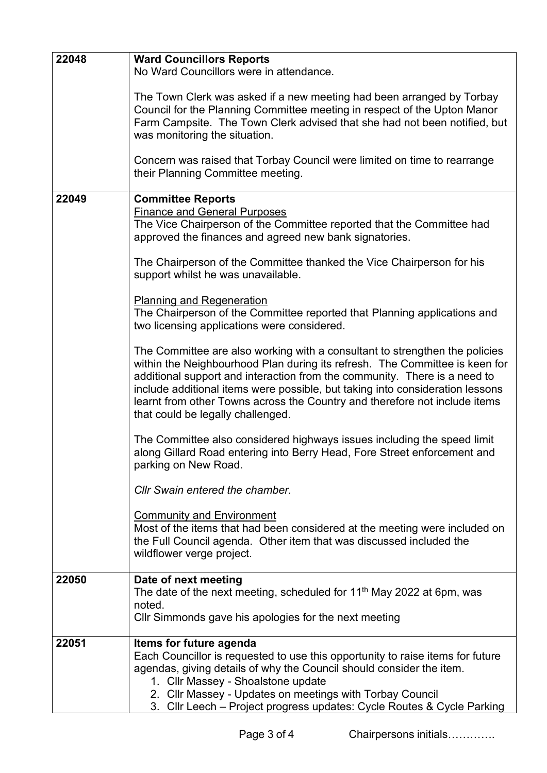| 22048 | <b>Ward Councillors Reports</b>                                                                                                                                                                                                                                                                                                                                                                                                             |
|-------|---------------------------------------------------------------------------------------------------------------------------------------------------------------------------------------------------------------------------------------------------------------------------------------------------------------------------------------------------------------------------------------------------------------------------------------------|
|       | No Ward Councillors were in attendance.                                                                                                                                                                                                                                                                                                                                                                                                     |
|       | The Town Clerk was asked if a new meeting had been arranged by Torbay<br>Council for the Planning Committee meeting in respect of the Upton Manor<br>Farm Campsite. The Town Clerk advised that she had not been notified, but<br>was monitoring the situation.                                                                                                                                                                             |
|       | Concern was raised that Torbay Council were limited on time to rearrange<br>their Planning Committee meeting.                                                                                                                                                                                                                                                                                                                               |
| 22049 | <b>Committee Reports</b>                                                                                                                                                                                                                                                                                                                                                                                                                    |
|       | <b>Finance and General Purposes</b><br>The Vice Chairperson of the Committee reported that the Committee had<br>approved the finances and agreed new bank signatories.                                                                                                                                                                                                                                                                      |
|       | The Chairperson of the Committee thanked the Vice Chairperson for his<br>support whilst he was unavailable.                                                                                                                                                                                                                                                                                                                                 |
|       | <b>Planning and Regeneration</b><br>The Chairperson of the Committee reported that Planning applications and<br>two licensing applications were considered.                                                                                                                                                                                                                                                                                 |
|       | The Committee are also working with a consultant to strengthen the policies<br>within the Neighbourhood Plan during its refresh. The Committee is keen for<br>additional support and interaction from the community. There is a need to<br>include additional items were possible, but taking into consideration lessons<br>learnt from other Towns across the Country and therefore not include items<br>that could be legally challenged. |
|       | The Committee also considered highways issues including the speed limit<br>along Gillard Road entering into Berry Head, Fore Street enforcement and<br>parking on New Road.                                                                                                                                                                                                                                                                 |
|       | Cllr Swain entered the chamber.                                                                                                                                                                                                                                                                                                                                                                                                             |
|       | <b>Community and Environment</b><br>Most of the items that had been considered at the meeting were included on<br>the Full Council agenda. Other item that was discussed included the<br>wildflower verge project.                                                                                                                                                                                                                          |
| 22050 | Date of next meeting<br>The date of the next meeting, scheduled for 11 <sup>th</sup> May 2022 at 6pm, was<br>noted.                                                                                                                                                                                                                                                                                                                         |
|       | Cllr Simmonds gave his apologies for the next meeting                                                                                                                                                                                                                                                                                                                                                                                       |
| 22051 | Items for future agenda<br>Each Councillor is requested to use this opportunity to raise items for future<br>agendas, giving details of why the Council should consider the item.<br>1. Cllr Massey - Shoalstone update                                                                                                                                                                                                                     |
|       | 2. Cllr Massey - Updates on meetings with Torbay Council<br>3. Cllr Leech - Project progress updates: Cycle Routes & Cycle Parking                                                                                                                                                                                                                                                                                                          |